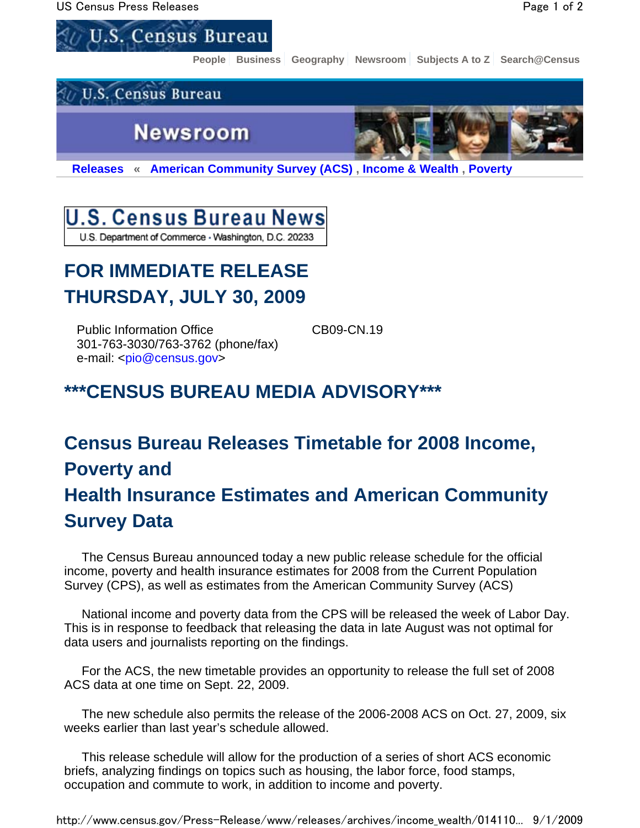

**People Business Geography Newsroom Subjects A to Z Search@Census**



**Releases « American Community Survey (ACS) , Income & Wealth , Poverty** 

### U.S. Census Bureau News U.S. Department of Commerce - Washington, D.C. 20233

## **FOR IMMEDIATE RELEASE THURSDAY, JULY 30, 2009**

Public Information Office CB09-CN.19 301-763-3030/763-3762 (phone/fax) e-mail: <pio@census.gov>

## **\*\*\*CENSUS BUREAU MEDIA ADVISORY\*\*\***

# **Census Bureau Releases Timetable for 2008 Income, Poverty and Health Insurance Estimates and American Community Survey Data**

 The Census Bureau announced today a new public release schedule for the official income, poverty and health insurance estimates for 2008 from the Current Population Survey (CPS), as well as estimates from the American Community Survey (ACS)

 National income and poverty data from the CPS will be released the week of Labor Day. This is in response to feedback that releasing the data in late August was not optimal for data users and journalists reporting on the findings.

 For the ACS, the new timetable provides an opportunity to release the full set of 2008 ACS data at one time on Sept. 22, 2009.

 The new schedule also permits the release of the 2006-2008 ACS on Oct. 27, 2009, six weeks earlier than last year's schedule allowed.

 This release schedule will allow for the production of a series of short ACS economic briefs, analyzing findings on topics such as housing, the labor force, food stamps, occupation and commute to work, in addition to income and poverty.

http://www.census.gov/Press-Release/www/releases/archives/income\_wealth/014110... 9/1/2009